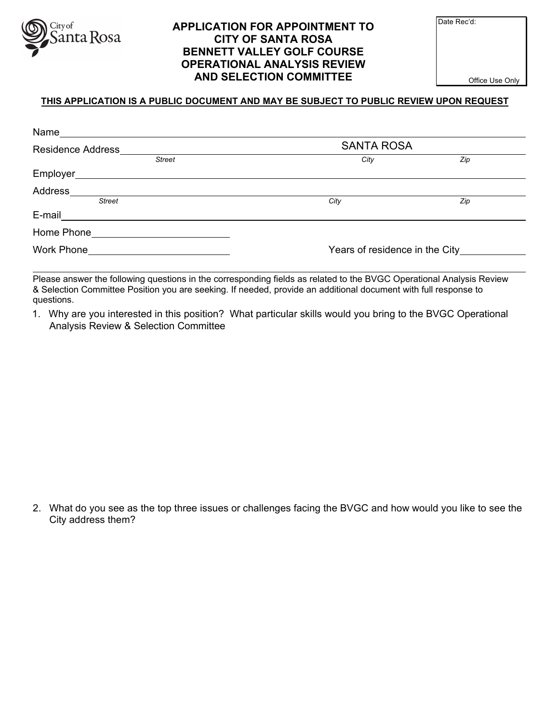

## **APPLICATION FOR APPOINTMENT TO CITY OF SANTA ROSA BENNETT VALLEY GOLF COURSE OPERATIONAL ANALYSIS REVIEW AND SELECTION COMMITTEE**

Date Rec'd:

Office Use Only

## **THIS APPLICATION IS A PUBLIC DOCUMENT AND MAY BE SUBJECT TO PUBLIC REVIEW UPON REQUEST**

| Name                     |                   |                                        |  |  |  |
|--------------------------|-------------------|----------------------------------------|--|--|--|
| <b>Residence Address</b> | <b>SANTA ROSA</b> |                                        |  |  |  |
| <b>Street</b>            | City              | Zip                                    |  |  |  |
| Employer                 |                   |                                        |  |  |  |
| Address                  |                   |                                        |  |  |  |
| <b>Street</b>            | City              | Zip                                    |  |  |  |
| E-mail                   |                   |                                        |  |  |  |
| Home Phone               |                   |                                        |  |  |  |
| <b>Work Phone</b>        |                   | Years of residence in the City________ |  |  |  |

Please answer the following questions in the corresponding fields as related to the BVGC Operational Analysis Review & Selection Committee Position you are seeking. If needed, provide an additional document with full response to questions.

1. Why are you interested in this position? What particular skills would you bring to the BVGC Operational Analysis Review & Selection Committee

2. What do you see as the top three issues or challenges facing the BVGC and how would you like to see the City address them?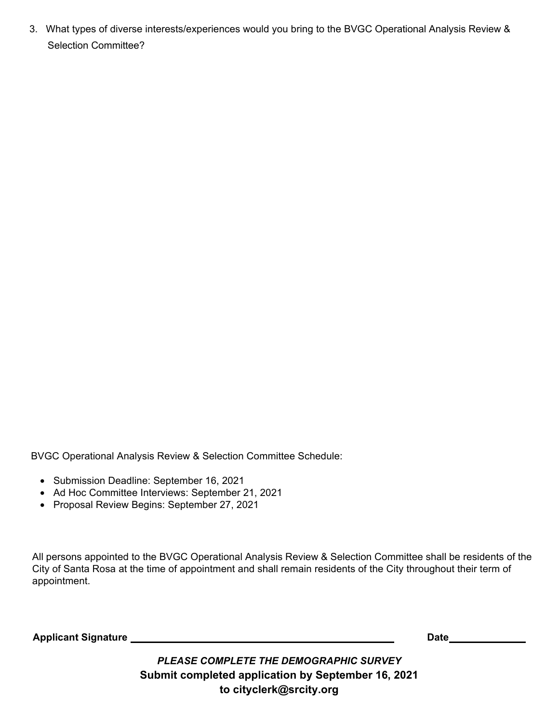3. What types of diverse interests/experiences would you bring to the BVGC Operational Analysis Review & Selection Committee?

BVGC Operational Analysis Review & Selection Committee Schedule:

- Submission Deadline: September 16, 2021
- Ad Hoc Committee Interviews: September 21, 2021
- Proposal Review Begins: September 27, 2021

All persons appointed to the BVGC Operational Analysis Review & Selection Committee shall be residents of the City of Santa Rosa at the time of appointment and shall remain residents of the City throughout their term of appointment.

**Applicant Signature Lateral Contract Contract Contract Contract Contract Contract Contract Contract Contract Contract Contract Contract Contract Contract Contract Contract Contract Contract Contract Contract Contract Co** 

*PLEASE COMPLETE THE DEMOGRAPHIC SURVEY*  **Submit completed application by September 16, 2021 to cityclerk@srcity.org**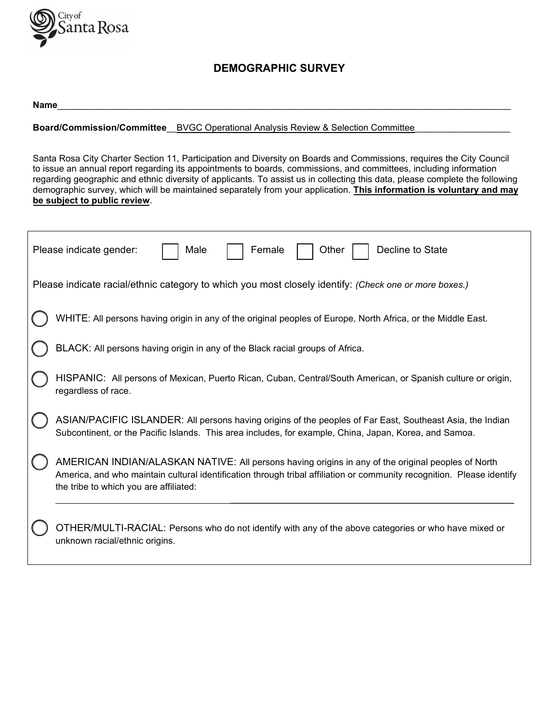

## **DEMOGRAPHIC SURVEY**

| <b>Name</b> |  |  |  |  |
|-------------|--|--|--|--|
|             |  |  |  |  |

**Board/Commission/Committee\_\_BVGC Operational Analysis Review & Selection Committee\_** 

Santa Rosa City Charter Section 11, Participation and Diversity on Boards and Commissions, requires the City Council to issue an annual report regarding its appointments to boards, commissions, and committees, including information regarding geographic and ethnic diversity of applicants. To assist us in collecting this data, please complete the following demographic survey, which will be maintained separately from your application. **This information is voluntary and may be subject to public review**.

| Decline to State<br>Please indicate gender:<br>Male<br>Female<br>Other                                                                                                                                                                                                 |  |  |  |  |  |
|------------------------------------------------------------------------------------------------------------------------------------------------------------------------------------------------------------------------------------------------------------------------|--|--|--|--|--|
| Please indicate racial/ethnic category to which you most closely identify: (Check one or more boxes.)                                                                                                                                                                  |  |  |  |  |  |
| WHITE: All persons having origin in any of the original peoples of Europe, North Africa, or the Middle East.                                                                                                                                                           |  |  |  |  |  |
| BLACK: All persons having origin in any of the Black racial groups of Africa.                                                                                                                                                                                          |  |  |  |  |  |
| HISPANIC: All persons of Mexican, Puerto Rican, Cuban, Central/South American, or Spanish culture or origin,<br>regardless of race.                                                                                                                                    |  |  |  |  |  |
| ASIAN/PACIFIC ISLANDER: All persons having origins of the peoples of Far East, Southeast Asia, the Indian<br>Subcontinent, or the Pacific Islands. This area includes, for example, China, Japan, Korea, and Samoa.                                                    |  |  |  |  |  |
| AMERICAN INDIAN/ALASKAN NATIVE: All persons having origins in any of the original peoples of North<br>America, and who maintain cultural identification through tribal affiliation or community recognition. Please identify<br>the tribe to which you are affiliated: |  |  |  |  |  |
| OTHER/MULTI-RACIAL: Persons who do not identify with any of the above categories or who have mixed or<br>unknown racial/ethnic origins.                                                                                                                                |  |  |  |  |  |